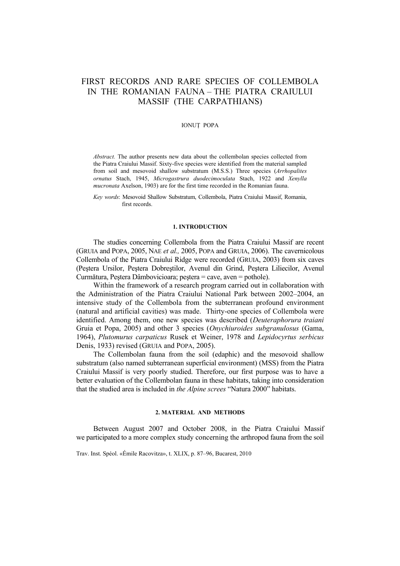# FIRST RECORDS AND RARE SPECIES OF COLLEMBOLA IN THE ROMANIAN FAUNA – THE PIATRA CRAIULUI MASSIF (THE CARPATHIANS)

## IONUŢ POPA

*Abstract.* The author presents new data about the collembolan species collected from the Piatra Craiului Massif. Sixty-five species were identified from the material sampled from soil and mesovoid shallow substratum (M.S.S.) Three species (*Arrhopalites ornatus* Stach, 1945, *Microgastrura duodecimoculata* Stach, 1922 and *Xenylla mucronata* Axelson, 1903) are for the first time recorded in the Romanian fauna.

*Key words*: Mesovoid Shallow Substratum, Collembola, Piatra Craiului Massif, Romania, first records.

## **1. INTRODUCTION**

The studies concerning Collembola from the Piatra Craiului Massif are recent (GRUIA and POPA, 2005, NAE *et al.,* 2005, POPA and GRUIA, 2006). The cavernicolous Collembola of the Piatra Craiului Ridge were recorded (GRUIA, 2003) from six caves (Peştera Ursilor, Peştera Dobreştilor, Avenul din Grind, Peştera Liliecilor, Avenul Curmătura, Peştera Dâmbovicioara; peştera = cave, aven = pothole).

Within the framework of a research program carried out in collaboration with the Administration of the Piatra Craiului National Park between 2002–2004, an intensive study of the Collembola from the subterranean profound environment (natural and artificial cavities) was made. Thirty-one species of Collembola were identified. Among them, one new species was described (*Deuteraphorura traiani*  Gruia et Popa, 2005) and other 3 species (*Onychiuroides subgranulosus* (Gama, 1964), *Plutomurus carpaticus* Rusek et Weiner, 1978 and *Lepidocyrtus serbicus*  Denis, 1933) revised (GRUIA and POPA, 2005).

The Collembolan fauna from the soil (edaphic) and the mesovoid shallow substratum (also named subterranean superficial environment) (MSS) from the Piatra Craiului Massif is very poorly studied. Therefore, our first purpose was to have a better evaluation of the Collembolan fauna in these habitats, taking into consideration that the studied area is included in *the Alpine screes* "Natura 2000" habitats.

#### **2. MATERIAL AND METHODS**

Between August 2007 and October 2008, in the Piatra Craiului Massif we participated to a more complex study concerning the arthropod fauna from the soil

Trav. Inst. Spéol. «Émile Racovitza», t. XLIX, p. 87–96, Bucarest, 2010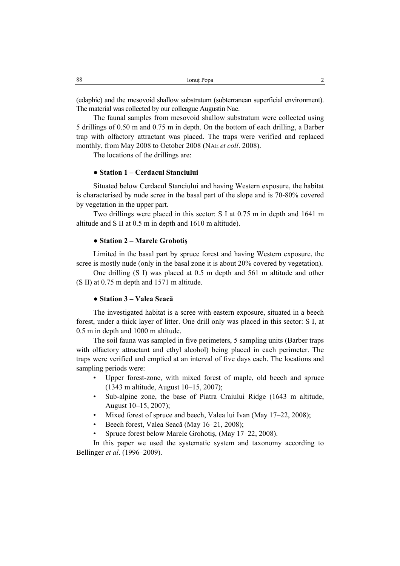(edaphic) and the mesovoid shallow substratum (subterranean superficial environment). The material was collected by our colleague Augustin Nae.

The faunal samples from mesovoid shallow substratum were collected using 5 drillings of 0.50 m and 0.75 m in depth. On the bottom of each drilling, a Barber trap with olfactory attractant was placed. The traps were verified and replaced monthly, from May 2008 to October 2008 (NAE *et coll*. 2008).

The locations of the drillings are:

# ● **Station 1 – Cerdacul Stanciului**

Situated below Cerdacul Stanciului and having Western exposure, the habitat is characterised by nude scree in the basal part of the slope and is 70-80% covered by vegetation in the upper part.

Two drillings were placed in this sector: S I at 0.75 m in depth and 1641 m altitude and S II at 0.5 m in depth and 1610 m altitude).

## ● **Station 2 – Marele Grohotiş**

Limited in the basal part by spruce forest and having Western exposure, the scree is mostly nude (only in the basal zone it is about 20% covered by vegetation).

One drilling (S I) was placed at 0.5 m depth and 561 m altitude and other (S II) at 0.75 m depth and 1571 m altitude.

## ● **Station 3 – Valea Seacă**

The investigated habitat is a scree with eastern exposure, situated in a beech forest, under a thick layer of litter. One drill only was placed in this sector: S I, at 0.5 m in depth and 1000 m altitude.

The soil fauna was sampled in five perimeters, 5 sampling units (Barber traps with olfactory attractant and ethyl alcohol) being placed in each perimeter. The traps were verified and emptied at an interval of five days each. The locations and sampling periods were:

- Upper forest-zone, with mixed forest of maple, old beech and spruce (1343 m altitude, August 10–15, 2007);
- Sub-alpine zone, the base of Piatra Craiului Ridge (1643 m altitude, August 10–15, 2007);
- Mixed forest of spruce and beech, Valea lui Ivan (May 17–22, 2008);
- Beech forest, Valea Seacă (May 16–21, 2008);
- Spruce forest below Marele Grohotiş, (May 17–22, 2008).

In this paper we used the systematic system and taxonomy according to Bellinger *et al*. (1996–2009).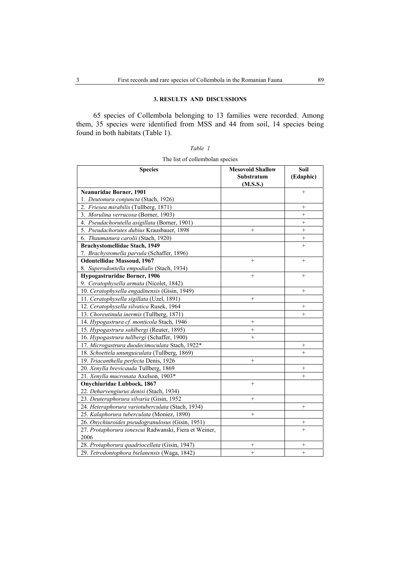# **3. RESULTS AND DISCUSSIONS**

65 species of Collembola belonging to 13 families were recorded. Among them, 35 species were identified from MSS and 44 from soil, 14 species being found in both habitats (Table 1).

| ,<br>$n_{n}$ |  |
|--------------|--|
|--------------|--|

The list of collembolan species

| <b>Species</b>                                        | <b>Mesovoid Shallow</b> | Soil            |
|-------------------------------------------------------|-------------------------|-----------------|
|                                                       | Substratum              | (Edaphic)       |
|                                                       | (M.S.S.)                |                 |
| <b>Neanuridae Borner, 1901</b>                        |                         | $^{+}$          |
| 1. Deutonura conjuncta (Stach, 1926)                  |                         |                 |
| 2. Friesea mirabilis (Tullberg, 1871)                 |                         | $^{+}$          |
| 3. Morulina verrucosa (Borner, 1903)                  |                         | $^{+}$          |
| 4. Pseudachorutella asigillata (Borner, 1901)         |                         | $+$             |
| 5. Pseudachorutes dubius Krausbauer, 1898             | $^{+}$                  | $^{+}$          |
| 6. Thaumanura carolii (Stach, 1920)                   |                         | $+$             |
| <b>Brachystomellidae Stach, 1949</b>                  |                         | $^{+}$          |
| 7. Brachystomella parvula (Schaffer, 1896)            |                         |                 |
| <b>Odontellidae Massoud, 1967</b>                     | $+$                     | $^{+}$          |
| 8. Superodontella empodialis (Stach, 1934)            |                         |                 |
| Hypogastruridae Borner, 1906                          | $^{+}$                  | $\! + \!\!\!\!$ |
| 9. Ceratophysella armata (Nicolet, 1842)              |                         |                 |
| 10. Ceratophysella engadinensis (Gisin, 1949)         |                         | $+$             |
| 11. Ceratophysella sigillata (Uzel, 1891)             |                         |                 |
| 12. Ceratophysella silvatica Rusek, 1964              |                         | $\! + \!\!\!\!$ |
| 13. Choreutinula inermis (Tullberg, 1871)             |                         | $^{+}$          |
| 14. Hypogastrura cf. monticola Stach, 1946            | $^{+}$                  |                 |
| 15. Hypogastrura sahlbergi (Reuter, 1895)             | $\! + \!\!\!\!$         |                 |
| 16. Hypogastrura tullbergi (Schaffer, 1900)           | $^{+}$                  |                 |
| 17. Microgastrura duodecimoculata Stach, 1922*        |                         | $^{+}$          |
| 18. Schoettela ununguiculata (Tullberg, 1869)         |                         | $^{+}$          |
| 19. Triacanthella perfecta Denis, 1926                | $\! + \!\!\!\!$         |                 |
| 20. Xenylla brevicauda Tullberg, 1869                 |                         | $^{+}$          |
| 21. Xenylla mucronata Axelson, 1903*                  |                         | $^{+}$          |
| Onychiuridae Lubbock, 1867                            | $^{+}$                  |                 |
| 22. Deharvengiurus denisi (Stach, 1934)               |                         |                 |
| 23. Deuteraphorura silvaria (Gisin, 1952              | $^{+}$                  |                 |
| 24. Heteraphorura variotuberculata (Stach, 1934)      |                         | $^{+}$          |
| 25. Kalaphorura tuberculata (Moniez, 1890)            | $\! + \!\!\!\!$         |                 |
| 26. Onychiuroides pseudogranulosus (Gisin, 1951)      |                         | $^{+}$          |
| 27. Protaphorura ionescui Radwanski, Fiera et Weiner, |                         | $^{+}$          |
| 2006                                                  |                         |                 |
| 28. Protaphorura quadriocellata (Gisin, 1947)         | $^{+}$                  | $^{+}$          |
| 29. Tetrodontophora bielanensis (Waga, 1842)          | $\ddot{}$               | $^{+}$          |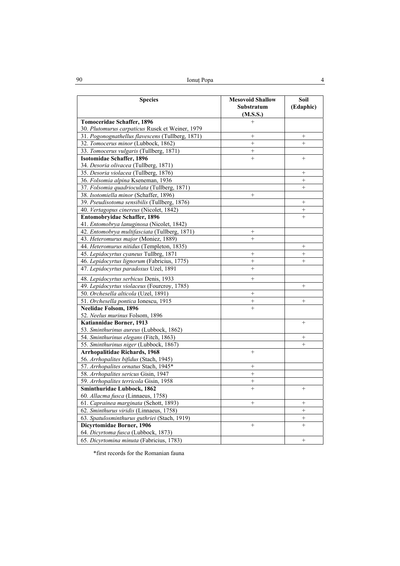| 90 | Ionut Popa |  |
|----|------------|--|
|    |            |  |

| <b>Species</b>                                                          | <b>Mesovoid Shallow</b><br>Substratum<br>(M.S.S.) | Soil<br>(Edaphic) |
|-------------------------------------------------------------------------|---------------------------------------------------|-------------------|
| Tomoceridae Schaffer, 1896                                              | $^{+}$                                            |                   |
| 30. Plutomurus carpaticus Rusek et Weiner, 1979                         |                                                   |                   |
| 31. Pogonognathellus flavescens (Tullberg, 1871)                        |                                                   | $\! + \!\!\!\!$   |
| 32. Tomocerus minor (Lubbock, 1862)                                     | $^{+}$                                            | $^{+}$            |
| 33. Tomocerus vulgaris (Tullberg, 1871)                                 | $^{+}$                                            |                   |
| Isotomidae Schaffer, 1896                                               | $+$                                               | $^{+}$            |
| 34. Desoria olivacea (Tullberg, 1871)                                   |                                                   |                   |
| 35. Desoria violacea (Tullberg, 1876)                                   |                                                   | $\! + \!\!\!\!$   |
| 36. Folsomia alpina Kseneman, 1936                                      |                                                   | $^{+}$            |
| 37. Folsomia quadrioculata (Tullberg, 1871)                             |                                                   | $+$               |
| 38. Isotomiella minor (Schaffer, 1896)                                  | $^{+}$                                            |                   |
| 39. Pseudisotoma sensibilis (Tullberg, 1876)                            |                                                   | $\! + \!\!\!\!$   |
| 40. Vertagopus cinereus (Nicolet, 1842)                                 |                                                   | $\! + \!\!\!\!$   |
| Entomobryidae Schaffer, 1896                                            |                                                   | $^{+}$            |
| 41. Entomobrya lanuginosa (Nicolet, 1842)                               |                                                   |                   |
| 42. Entomobrya multifasciata (Tullberg, 1871)                           | $^{+}$                                            |                   |
| 43. Heteromurus major (Moniez, 1889)                                    | $\! + \!\!\!\!$                                   |                   |
| 44. Heteromurus nitidus (Templeton, 1835)                               |                                                   | $^{+}$            |
| 45. Lepidocyrtus cyaneus Tullbrg, 1871                                  | $\! + \!\!\!\!$                                   | $\! + \!\!\!\!$   |
| 46. Lepidocyrtus lignorum (Fabricius, 1775)                             | $\! + \!\!\!\!$                                   | $^{+}$            |
| 47. Lepidocyrtus paradoxus Uzel, 1891                                   | $^{+}$                                            |                   |
| 48. Lepidocyrtus serbicus Denis, 1933                                   | $^{+}$                                            |                   |
| 49. Lepidocyrtus violaceus (Fourcroy, 1785)                             |                                                   | $\! + \!\!\!\!$   |
| 50. Orchesella alticola (Uzel, 1891)                                    | $\! + \!\!\!\!$                                   |                   |
| 51. Orchesella pontica Ionescu, 1915                                    |                                                   | $\! + \!\!\!\!$   |
| <b>Neelidae Folsom, 1896</b>                                            | $^{+}$                                            |                   |
| 52. Neelus murinus Folsom, 1896                                         |                                                   |                   |
| Katiannidae Borner, 1913                                                |                                                   | $^{+}$            |
| 53. Sminthurinus aureus (Lubbock, 1862)                                 |                                                   |                   |
| 54. Sminthurinus elegans (Fitch, 1863)                                  |                                                   | $\! + \!\!\!\!$   |
| 55. Sminthurinus niger (Lubbock, 1867)                                  |                                                   | $^{+}$            |
| <b>Arrhopalitidae Richards, 1968</b>                                    | $+$                                               |                   |
| 56. Arrhopalites bifidus (Stach, 1945)                                  |                                                   |                   |
| 57. Arrhopalites ornatus Stach, 1945*                                   | $\! + \!\!\!\!$                                   |                   |
| 58. Arrhopalites sericus Gisin, 1947                                    | $^{+}$                                            |                   |
| 59. Arrhopalites terricola Gisin, 1958                                  | $^{+}$                                            |                   |
| <b>Sminthuridae Lubbock, 1862</b><br>60. Allacma fusca (Linnaeus, 1758) | $^{+}$                                            | $^{+}$            |
| 61. Caprainea marginata (Schott, 1893)                                  | $\! + \!\!\!\!$                                   | $^{+}$            |
| 62. Sminthurus viridis (Linnaeus, 1758)                                 |                                                   | $^{+}$            |
| 63. Spatulosminthurus guthriei (Stach, 1919)                            |                                                   | $^{+}$            |
| Dicyrtomidae Borner, 1906                                               | $+$                                               | $^{+}$            |
| 64. Dicyrtoma fusca (Lubbock, 1873)                                     |                                                   |                   |
| 65. Dicyrtomina minuta (Fabricius, 1783)                                |                                                   | $^{+}$            |
|                                                                         |                                                   |                   |

\*first records for the Romanian fauna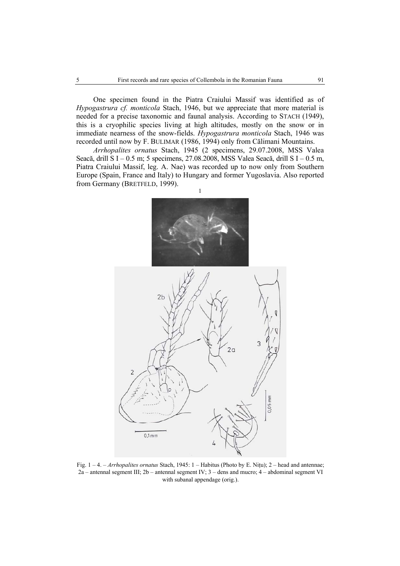One specimen found in the Piatra Craiului Massif was identified as of *Hypogastrura cf. monticola* Stach, 1946, but we appreciate that more material is needed for a precise taxonomic and faunal analysis. According to STACH (1949), this is a cryophilic species living at high altitudes, mostly on the snow or in immediate nearness of the snow-fields. *Hypogastrura monticola* Stach, 1946 was recorded until now by F. BULIMAR (1986, 1994) only from Călimani Mountains.

*Arrhopalites ornatus* Stach, 1945 (2 specimens, 29.07.2008, MSS Valea Seacă, drill S I – 0.5 m; 5 specimens, 27.08.2008, MSS Valea Seacă, drill S I – 0.5 m, Piatra Craiului Massif, leg. A. Nae) was recorded up to now only from Southern Europe (Spain, France and Italy) to Hungary and former Yugoslavia. Also reported from Germany (BRETFELD, 1999).



Fig. 1 – 4. – *Arrhopalites ornatus* Stach, 1945: 1 – Habitus (Photo by E. Niţu); 2 – head and antennae; 2a – antennal segment III; 2b – antennal segment IV; 3 – dens and mucro; 4 – abdominal segment VI with subanal appendage (orig.).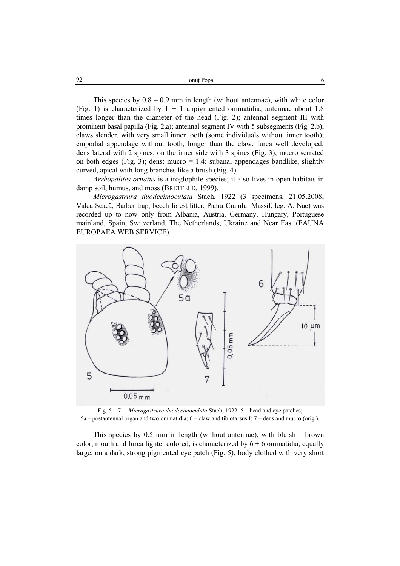This species by  $0.8 - 0.9$  mm in length (without antennae), with white color (Fig. 1) is characterized by  $1 + 1$  unpigmented ommatidia; antennae about 1.8 times longer than the diameter of the head (Fig. 2); antennal segment III with prominent basal papilla (Fig. 2,a); antennal segment IV with 5 subsegments (Fig. 2,b); claws slender, with very small inner tooth (some individuals without inner tooth); empodial appendage without tooth, longer than the claw; furca well developed; dens lateral with 2 spines; on the inner side with 3 spines (Fig. 3); mucro serrated on both edges (Fig. 3); dens: mucro  $= 1.4$ ; subanal appendages bandlike, slightly curved, apical with long branches like a brush (Fig. 4).

*Arrhopalites ornatus* is a troglophile species; it also lives in open habitats in damp soil, humus, and moss (BRETFELD, 1999).

*Microgastrura duodecimoculata* Stach, 1922 (3 specimens, 21.05.2008, Valea Seacă, Barber trap, beech forest litter, Piatra Craiului Massif, leg. A. Nae) was recorded up to now only from Albania, Austria, Germany, Hungary, Portuguese mainland, Spain, Switzerland, The Netherlands, Ukraine and Near East (FAUNA EUROPAEA WEB SERVICE).



Fig. 5 – 7. – *Microgastrura duodecimoculata* Stach, 1922: 5 – head and eye patches;  $5a$  – postantennal organ and two ommatidia;  $6$  – claw and tibiotarsus I;  $7$  – dens and mucro (orig.).

This species by 0.5 mm in length (without antennae), with bluish – brown color, mouth and furca lighter colored, is characterized by  $6 + 6$  ommatidia, equally large, on a dark, strong pigmented eye patch (Fig. 5); body clothed with very short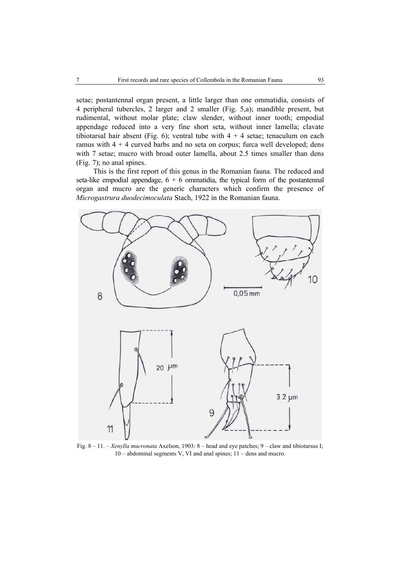setae; postantennal organ present, a little larger than one ommatidia, consists of 4 peripheral tubercles, 2 larger and 2 smaller (Fig. 5,a); mandible present, but rudimental, without molar plate; claw slender, without inner tooth; empodial appendage reduced into a very fine short seta, without inner lamella; clavate tibiotarsal hair absent (Fig. 6); ventral tube with  $4 + 4$  setae; tenaculum on each ramus with  $4 + 4$  curved barbs and no seta on corpus; furca well developed; dens with 7 setae; mucro with broad outer lamella, about 2.5 times smaller than dens (Fig. 7); no anal spines.

This is the first report of this genus in the Romanian fauna. The reduced and seta-like empodial appendage,  $6 + 6$  ommatidia, the typical form of the postantennal organ and mucro are the generic characters which confirm the presence of *Microgastrura duodecimoculata* Stach, 1922 in the Romanian fauna.



Fig. 8 – 11. – *Xenylla mucronata* Axelson, 1903: 8 – head and eye patches; 9 – claw and tibiotarsus I; 10 – abdominal segments V, VI and anal spines; 11 – dens and mucro.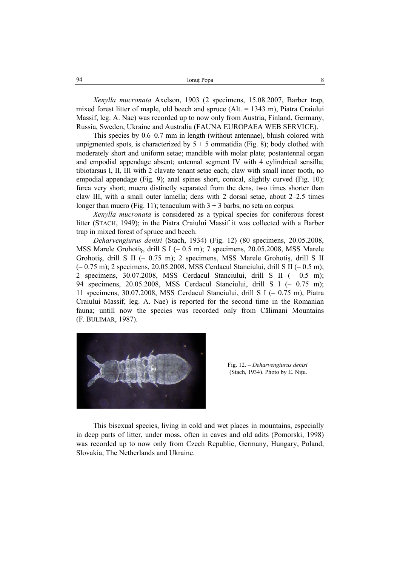| 94 | Ionut Popa |  |
|----|------------|--|
|    |            |  |

*Xenylla mucronata* Axelson, 1903 (2 specimens, 15.08.2007, Barber trap, mixed forest litter of maple, old beech and spruce  $(A<sub>l</sub> = 1343$  m), Piatra Craiului Massif, leg. A. Nae) was recorded up to now only from Austria, Finland, Germany, Russia, Sweden, Ukraine and Australia (FAUNA EUROPAEA WEB SERVICE).

This species by 0.6–0.7 mm in length (without antennae), bluish colored with unpigmented spots, is characterized by  $5 + 5$  ommatidia (Fig. 8); body clothed with moderately short and uniform setae; mandible with molar plate; postantennal organ and empodial appendage absent; antennal segment IV with 4 cylindrical sensilla; tibiotarsus I, II, III with 2 clavate tenant setae each; claw with small inner tooth, no empodial appendage (Fig. 9); anal spines short, conical, slightly curved (Fig. 10); furca very short; mucro distinctly separated from the dens, two times shorter than claw III, with a small outer lamella; dens with 2 dorsal setae, about 2–2.5 times longer than mucro (Fig. 11); tenaculum with  $3 + 3$  barbs, no seta on corpus.

*Xenylla mucronata* is considered as a typical species for coniferous forest litter (STACH, 1949); in the Piatra Craiului Massif it was collected with a Barber trap in mixed forest of spruce and beech.

*Deharvengiurus denisi* (Stach, 1934) (Fig. 12) (80 specimens, 20.05.2008, MSS Marele Grohotiş, drill S I (– 0.5 m); 7 specimens, 20.05.2008, MSS Marele Grohotiş, drill S II (– 0.75 m); 2 specimens, MSS Marele Grohotiş, drill S II (– 0.75 m); 2 specimens, 20.05.2008, MSS Cerdacul Stanciului, drill S II (– 0.5 m); 2 specimens, 30.07.2008, MSS Cerdacul Stanciului, drill S II (– 0.5 m); 94 specimens, 20.05.2008, MSS Cerdacul Stanciului, drill S I (– 0.75 m); 11 specimens, 30.07.2008, MSS Cerdacul Stanciului, drill S I (– 0.75 m), Piatra Craiului Massif, leg. A. Nae) is reported for the second time in the Romanian fauna; untill now the species was recorded only from Călimani Mountains (F. BULIMAR, 1987).



Fig. 12. – *Deharvengiurus denisi*  (Stach, 1934). Photo by E. Niţu.

This bisexual species, living in cold and wet places in mountains, especially in deep parts of litter, under moss, often in caves and old adits (Pomorski, 1998) was recorded up to now only from Czech Republic, Germany, Hungary, Poland, Slovakia, The Netherlands and Ukraine.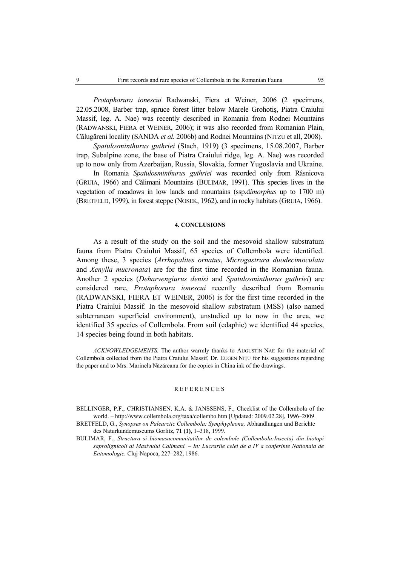*Protaphorura ionescui* Radwanski, Fiera et Weiner, 2006 (2 specimens, 22.05.2008, Barber trap, spruce forest litter below Marele Grohotiş, Piatra Craiului Massif, leg. A. Nae) was recently described in Romania from Rodnei Mountains (RADWANSKI, FIERA et WEINER, 2006); it was also recorded from Romanian Plain, Călugăreni locality (SANDA *et al.* 2006b) and Rodnei Mountains (NITZU et all, 2008).

*Spatulosminthurus guthriei* (Stach, 1919) (3 specimens, 15.08.2007, Barber trap, Subalpine zone, the base of Piatra Craiului ridge, leg. A. Nae) was recorded up to now only from Azerbaijan, Russia, Slovakia, former Yugoslavia and Ukraine.

In Romania *Spatulosminthurus guthriei* was recorded only from Râsnicova (GRUIA, 1966) and Călimani Mountains (BULIMAR, 1991). This species lives in the vegetation of meadows in low lands and mountains (ssp.d*imorphus* up to 1700 m) (BRETFELD, 1999), in forest steppe (NOSEK, 1962), and in rocky habitats (GRUIA, 1966).

#### **4. CONCLUSIONS**

As a result of the study on the soil and the mesovoid shallow substratum fauna from Piatra Craiului Massif, 65 species of Collembola were identified. Among these, 3 species (*Arrhopalites ornatus*, *Microgastrura duodecimoculata*  and *Xenylla mucronata*) are for the first time recorded in the Romanian fauna. Another 2 species (*Deharvengiurus denisi* and *Spatulosminthurus guthriei*) are considered rare, *Protaphorura ionescui* recently described from Romania (RADWANSKI, FIERA ET WEINER, 2006) is for the first time recorded in the Piatra Craiului Massif. In the mesovoid shallow substratum (MSS) (also named subterranean superficial environment), unstudied up to now in the area, we identified 35 species of Collembola. From soil (edaphic) we identified 44 species, 14 species being found in both habitats.

*ACKNOWLEDGEMENTS.* The author warmly thanks to AUGUSTIN NAE for the material of Collembola collected from the Piatra Craiului Massif, Dr. EUGEN NIŢU for his suggestions regarding the paper and to Mrs. Marinela Năzăreanu for the copies in China ink of the drawings.

#### **REFERENCES**

- BELLINGER, P.F., CHRISTIANSEN, K.A. & JANSSENS, F., Checklist of the Collembola of the world. – http://www.collembola.org/taxa/collembo.htm [Updated: 2009.02.28], 1996–2009.
- BRETFELD, G., *Synopses on Palearctic Collembola: Symphypleona,* Abhandlungen und Berichte des Naturkundemuseums Gorlitz, **71 (1),** 1–318, 1999.
- BULIMAR, F., *Structura si biomasacomunitatilor de colembole (Collembola:Insecta) din biotopi saprolignicoli ai Masivului Calimani. – In: Lucrarile celei de a IV a conferinte Nationala de Entomologie.* Cluj-Napoca, 227–282, 1986.